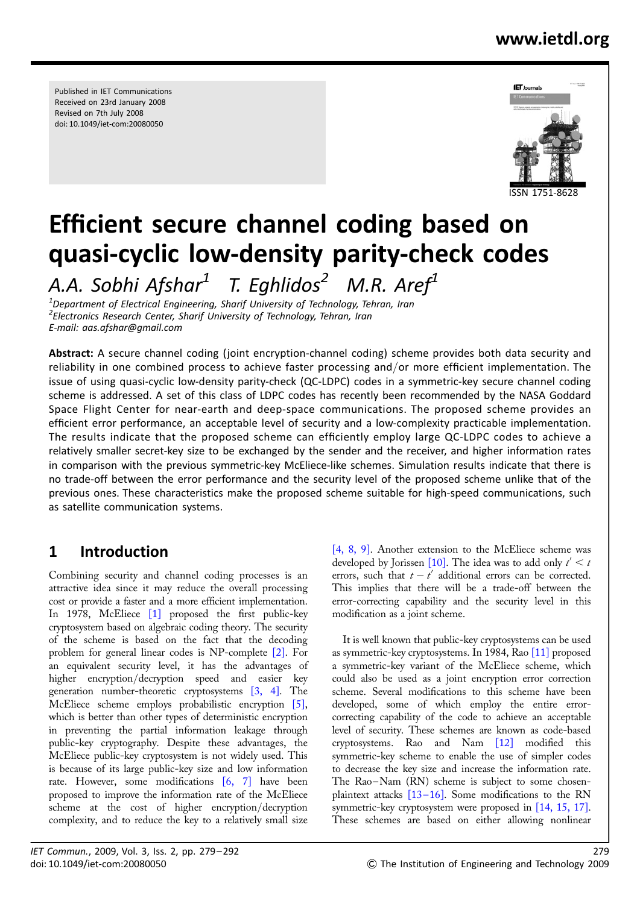# www.ietdl.org

Published in IET Communications Received on 23rd January 2008 Revised on 7th July 2008 doi: 10.1049/iet-com:20080050



# Efficient secure channel coding based on quasi-cyclic low-density parity-check codes

A.A. Sobhi Afshar<sup>1</sup> T. Eghlidos<sup>2</sup> M.R. Aref<sup>1</sup>

 $^{\text{1}}$ Department of Electrical Engineering, Sharif University of Technology, Tehran, Iran <sup>2</sup> Electronics Research Center, Sharif University of Technology, Tehran, Iran E-mail: aas.afshar@gmail.com

Abstract: A secure channel coding (joint encryption-channel coding) scheme provides both data security and reliability in one combined process to achieve faster processing and/or more efficient implementation. The issue of using quasi-cyclic low-density parity-check (QC-LDPC) codes in a symmetric-key secure channel coding scheme is addressed. A set of this class of LDPC codes has recently been recommended by the NASA Goddard Space Flight Center for near-earth and deep-space communications. The proposed scheme provides an efficient error performance, an acceptable level of security and a low-complexity practicable implementation. The results indicate that the proposed scheme can efficiently employ large QC-LDPC codes to achieve a relatively smaller secret-key size to be exchanged by the sender and the receiver, and higher information rates in comparison with the previous symmetric-key McEliece-like schemes. Simulation results indicate that there is no trade-off between the error performance and the security level of the proposed scheme unlike that of the previous ones. These characteristics make the proposed scheme suitable for high-speed communications, such as satellite communication systems.

## 1 Introduction

Combining security and channel coding processes is an attractive idea since it may reduce the overall processing cost or provide a faster and a more efficient implementation. In 1978, McEliece [1] proposed the first public-key cryptosystem based on algebraic coding theory. The security of the scheme is based on the fact that the decoding problem for general linear codes is NP-complete [2]. For an equivalent security level, it has the advantages of higher encryption/decryption speed and easier key generation number-theoretic cryptosystems  $\begin{bmatrix} 3, & 4 \end{bmatrix}$ . The McEliece scheme employs probabilistic encryption [5], which is better than other types of deterministic encryption in preventing the partial information leakage through public-key cryptography. Despite these advantages, the McEliece public-key cryptosystem is not widely used. This is because of its large public-key size and low information rate. However, some modifications  $\begin{bmatrix} 6, 7 \end{bmatrix}$  have been proposed to improve the information rate of the McEliece scheme at the cost of higher encryption/decryption complexity, and to reduce the key to a relatively small size [4, 8, 9]. Another extension to the McEliece scheme was developed by Jorissen [10]. The idea was to add only  $t' < t$ errors, such that  $t - t'$  additional errors can be corrected. This implies that there will be a trade-off between the error-correcting capability and the security level in this modification as a joint scheme.

It is well known that public-key cryptosystems can be used as symmetric-key cryptosystems. In 1984, Rao [11] proposed a symmetric-key variant of the McEliece scheme, which could also be used as a joint encryption error correction scheme. Several modifications to this scheme have been developed, some of which employ the entire errorcorrecting capability of the code to achieve an acceptable level of security. These schemes are known as code-based cryptosystems. Rao and Nam [12] modified this symmetric-key scheme to enable the use of simpler codes to decrease the key size and increase the information rate. The Rao-Nam  $(RN)$  scheme is subject to some chosenplaintext attacks  $[13-16]$ . Some modifications to the RN symmetric-key cryptosystem were proposed in [14, 15, 17]. These schemes are based on either allowing nonlinear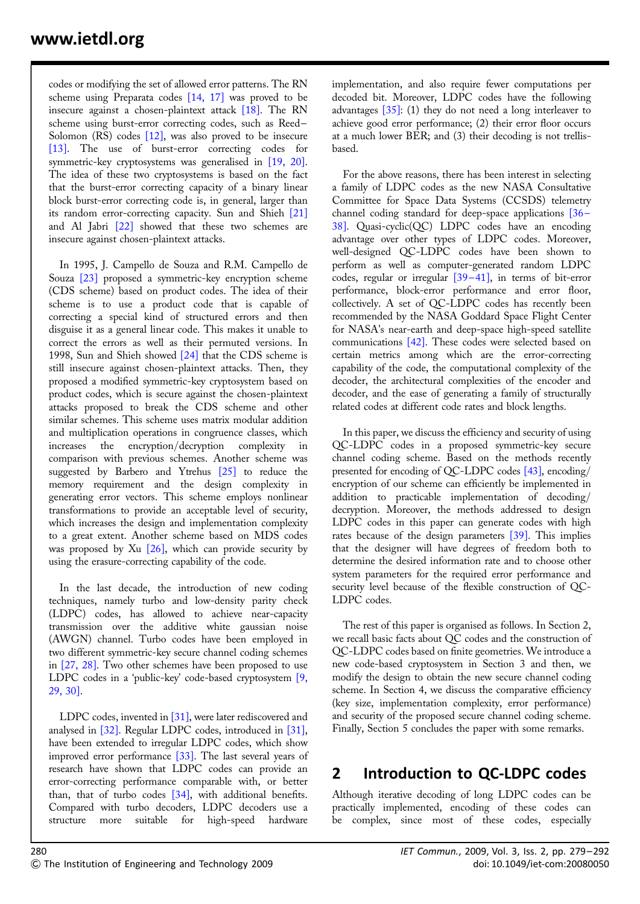codes or modifying the set of allowed error patterns. The RN scheme using Preparata codes [14, 17] was proved to be insecure against a chosen-plaintext attack [18]. The RN scheme using burst-error correcting codes, such as Reed – Solomon (RS) codes [12], was also proved to be insecure [13]. The use of burst-error correcting codes for symmetric-key cryptosystems was generalised in [19, 20]. The idea of these two cryptosystems is based on the fact that the burst-error correcting capacity of a binary linear block burst-error correcting code is, in general, larger than its random error-correcting capacity. Sun and Shieh [21] and Al Jabri [22] showed that these two schemes are insecure against chosen-plaintext attacks.

In 1995, J. Campello de Souza and R.M. Campello de Souza [23] proposed a symmetric-key encryption scheme (CDS scheme) based on product codes. The idea of their scheme is to use a product code that is capable of correcting a special kind of structured errors and then disguise it as a general linear code. This makes it unable to correct the errors as well as their permuted versions. In 1998, Sun and Shieh showed [24] that the CDS scheme is still insecure against chosen-plaintext attacks. Then, they proposed a modified symmetric-key cryptosystem based on product codes, which is secure against the chosen-plaintext attacks proposed to break the CDS scheme and other similar schemes. This scheme uses matrix modular addition and multiplication operations in congruence classes, which increases the encryption/decryption complexity in comparison with previous schemes. Another scheme was suggested by Barbero and Ytrehus [25] to reduce the memory requirement and the design complexity in generating error vectors. This scheme employs nonlinear transformations to provide an acceptable level of security, which increases the design and implementation complexity to a great extent. Another scheme based on MDS codes was proposed by Xu  $[26]$ , which can provide security by using the erasure-correcting capability of the code.

In the last decade, the introduction of new coding techniques, namely turbo and low-density parity check (LDPC) codes, has allowed to achieve near-capacity transmission over the additive white gaussian noise (AWGN) channel. Turbo codes have been employed in two different symmetric-key secure channel coding schemes in [27, 28]. Two other schemes have been proposed to use LDPC codes in a 'public-key' code-based cryptosystem [9, 29, 30].

LDPC codes, invented in [31], were later rediscovered and analysed in [32]. Regular LDPC codes, introduced in [31], have been extended to irregular LDPC codes, which show improved error performance [33]. The last several years of research have shown that LDPC codes can provide an error-correcting performance comparable with, or better than, that of turbo codes [34], with additional benefits. Compared with turbo decoders, LDPC decoders use a structure more suitable for high-speed hardware

implementation, and also require fewer computations per decoded bit. Moreover, LDPC codes have the following advantages [35]: (1) they do not need a long interleaver to achieve good error performance; (2) their error floor occurs at a much lower BER; and (3) their decoding is not trellisbased.

For the above reasons, there has been interest in selecting a family of LDPC codes as the new NASA Consultative Committee for Space Data Systems (CCSDS) telemetry channel coding standard for deep-space applications [36 – 38]. Quasi-cyclic(QC) LDPC codes have an encoding advantage over other types of LDPC codes. Moreover, well-designed QC-LDPC codes have been shown to perform as well as computer-generated random LDPC codes, regular or irregular  $[39-41]$ , in terms of bit-error performance, block-error performance and error floor, collectively. A set of QC-LDPC codes has recently been recommended by the NASA Goddard Space Flight Center for NASA's near-earth and deep-space high-speed satellite communications [42]. These codes were selected based on certain metrics among which are the error-correcting capability of the code, the computational complexity of the decoder, the architectural complexities of the encoder and decoder, and the ease of generating a family of structurally related codes at different code rates and block lengths.

In this paper, we discuss the efficiency and security of using QC-LDPC codes in a proposed symmetric-key secure channel coding scheme. Based on the methods recently presented for encoding of QC-LDPC codes [43], encoding/ encryption of our scheme can efficiently be implemented in addition to practicable implementation of decoding/ decryption. Moreover, the methods addressed to design LDPC codes in this paper can generate codes with high rates because of the design parameters [39]. This implies that the designer will have degrees of freedom both to determine the desired information rate and to choose other system parameters for the required error performance and security level because of the flexible construction of QC-LDPC codes.

The rest of this paper is organised as follows. In Section 2, we recall basic facts about QC codes and the construction of QC-LDPC codes based on finite geometries. We introduce a new code-based cryptosystem in Section 3 and then, we modify the design to obtain the new secure channel coding scheme. In Section 4, we discuss the comparative efficiency (key size, implementation complexity, error performance) and security of the proposed secure channel coding scheme. Finally, Section 5 concludes the paper with some remarks.

# 2 Introduction to QC-LDPC codes

Although iterative decoding of long LDPC codes can be practically implemented, encoding of these codes can be complex, since most of these codes, especially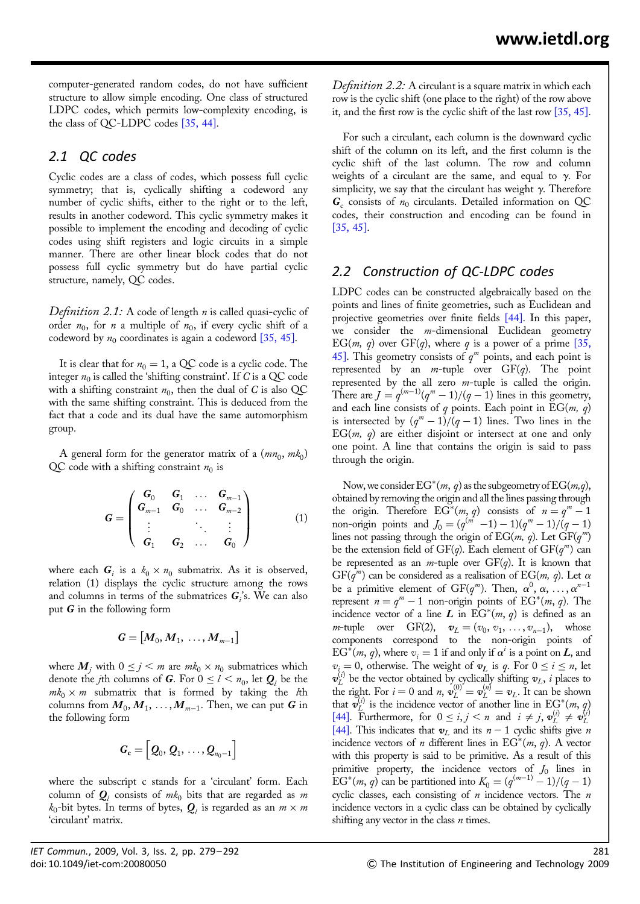computer-generated random codes, do not have sufficient structure to allow simple encoding. One class of structured LDPC codes, which permits low-complexity encoding, is the class of QC-LDPC codes [35, 44].

#### 2.1 QC codes

Cyclic codes are a class of codes, which possess full cyclic symmetry; that is, cyclically shifting a codeword any number of cyclic shifts, either to the right or to the left, results in another codeword. This cyclic symmetry makes it possible to implement the encoding and decoding of cyclic codes using shift registers and logic circuits in a simple manner. There are other linear block codes that do not possess full cyclic symmetry but do have partial cyclic structure, namely, QC codes.

Definition 2.1: A code of length  $n$  is called quasi-cyclic of order  $n_0$ , for n a multiple of  $n_0$ , if every cyclic shift of a codeword by  $n_0$  coordinates is again a codeword [35, 45].

It is clear that for  $n_0 = 1$ , a QC code is a cyclic code. The integer  $n_0$  is called the 'shifting constraint'. If C is a QC code with a shifting constraint  $n_0$ , then the dual of C is also QC with the same shifting constraint. This is deduced from the fact that a code and its dual have the same automorphism group.

A general form for the generator matrix of a  $(mn_0, mk_0)$ QC code with a shifting constraint  $n_0$  is

$$
G = \begin{pmatrix} G_0 & G_1 & \dots & G_{m-1} \\ G_{m-1} & G_0 & \dots & G_{m-2} \\ \vdots & & \vdots & \vdots \\ G_1 & G_2 & \dots & G_0 \end{pmatrix}
$$
 (1)

where each  $G_i$  is a  $k_0 \times n_0$  submatrix. As it is observed, relation (1) displays the cyclic structure among the rows and columns in terms of the submatrices  $G_i$ 's. We can also put  $G$  in the following form

$$
\boldsymbol{G} = \left[ \boldsymbol{M}_{0}, \boldsymbol{M}_{1}, \ldots, \boldsymbol{M}_{m-1} \right]
$$

where  $M_j$  with  $0 \le j \le m$  are  $mk_0 \times n_0$  submatrices which denote the *j*th columns of G. For  $0 \le l \le n_0$ , let  $Q_l$  be the  $mk_0 \times m$  submatrix that is formed by taking the *l*th columns from  $M_0, M_1, \ldots, M_{m-1}$ . Then, we can put  $G$  in the following form

$$
\boldsymbol{G}_{\rm c}=\left[\right.\boldsymbol{Q}_{0},\,\boldsymbol{Q}_{1},\,\ldots,\boldsymbol{Q}_{n_{0}-1}\right]
$$

where the subscript c stands for a 'circulant' form. Each column of  $Q_i$  consists of  $mk_0$  bits that are regarded as m  $k_0$ -bit bytes. In terms of bytes,  $Q_i$  is regarded as an  $m \times m$ 'circulant' matrix.

Definition 2.2: A circulant is a square matrix in which each row is the cyclic shift (one place to the right) of the row above it, and the first row is the cyclic shift of the last row [35, 45].

For such a circulant, each column is the downward cyclic shift of the column on its left, and the first column is the cyclic shift of the last column. The row and column weights of a circulant are the same, and equal to  $\gamma$ . For simplicity, we say that the circulant has weight  $\gamma$ . Therefore  $G_c$  consists of  $n_0$  circulants. Detailed information on QC codes, their construction and encoding can be found in [35, 45].

#### 2.2 Construction of QC-LDPC codes

LDPC codes can be constructed algebraically based on the points and lines of finite geometries, such as Euclidean and projective geometries over finite fields [44]. In this paper, we consider the *m*-dimensional Euclidean geometry EG(*m*, *q*) over GF(*q*), where *q* is a power of a prime [35, 45]. This geometry consists of  $q^m$  points, and each point is represented by an  $m$ -tuple over  $GF(q)$ . The point represented by the all zero  $m$ -tuple is called the origin. There are  $J = q^{(m-1)}(q^m - 1)/(q - 1)$  lines in this geometry, and each line consists of q points. Each point in  $EG(m, q)$ is intersected by  $(q^m - 1) / (q - 1)$  lines. Two lines in the  $EG(m, q)$  are either disjoint or intersect at one and only one point. A line that contains the origin is said to pass through the origin.

Now, we consider  $EG^*(m, q)$  as the subgeometry of  $EG(m, q)$ , obtained by removing the origin and all the lines passing through the origin. Therefore  $EG^*(m, q)$  consists of  $n = q^m - 1$ non-origin points and  $J_0 = (q^{(m)} - 1) - 1)(q^m - 1)/(\bar{q} - 1)$ lines not passing through the origin of  $EG(m, q)$ . Let  $GF(q^m)$ be the extension field of GF(q). Each element of  $GF(q^m)$  can be represented as an *m*-tuple over  $GF(q)$ . It is known that  $GF(q^m)$  can be considered as a realisation of  $EG(m, q)$ . Let  $\alpha$ be a primitive element of GF(q<sup>m</sup>). Then,  $\alpha^0$ ,  $\alpha$ , ...,  $\alpha^{n-1}$ represent  $n = q^m - 1$  non-origin points of  $EG^*(m, q)$ . The incidence vector of a line L in  $EG^*(m, q)$  is defined as an *m*-tuple over GF(2),  $\mathbf{v}_L = (v_0, v_1, \dots, v_{n-1}),$  whose components correspond to the non-origin points of  $EG^{\hat{*}}(m, q)$ , where  $v_i = 1$  if and only if  $\alpha^i$  is a point on  $L$ , and  $v_i = 0$ , otherwise. The weight of  $v_L$  is q. For  $0 \le i \le n$ , let  $\mathbf{v}_L^{(i)}$  be the vector obtained by cyclically shifting  $\mathbf{v}_L$ , *i* places to the right. For  $i = 0$  and n,  $v_L^{(0)} = v_L^{(n)} = v_L$ . It can be shown that  $\vec{v}_L^{(i)}$  is the incidence vector of another line in EG<sup>\*</sup>(*m*, *q*) [44]. Furthermore, for  $0 \le i, j \le n$  and  $i \ne j, v_L^{(i)} \ne v_L^{(j)}$ [44]. This indicates that  $v_L$  and its  $n - 1$  cyclic shifts give n incidence vectors of *n* different lines in  $EG^*(m, q)$ . A vector with this property is said to be primitive. As a result of this primitive property, the incidence vectors of  $J_0$  lines in  $\text{EG}^*(m, q)$  can be partitioned into  $K_0 = (q^{(m-1)} - 1)/(q - 1)$ cyclic classes, each consisting of  $n$  incidence vectors. The  $n$ incidence vectors in a cyclic class can be obtained by cyclically shifting any vector in the class  $n$  times.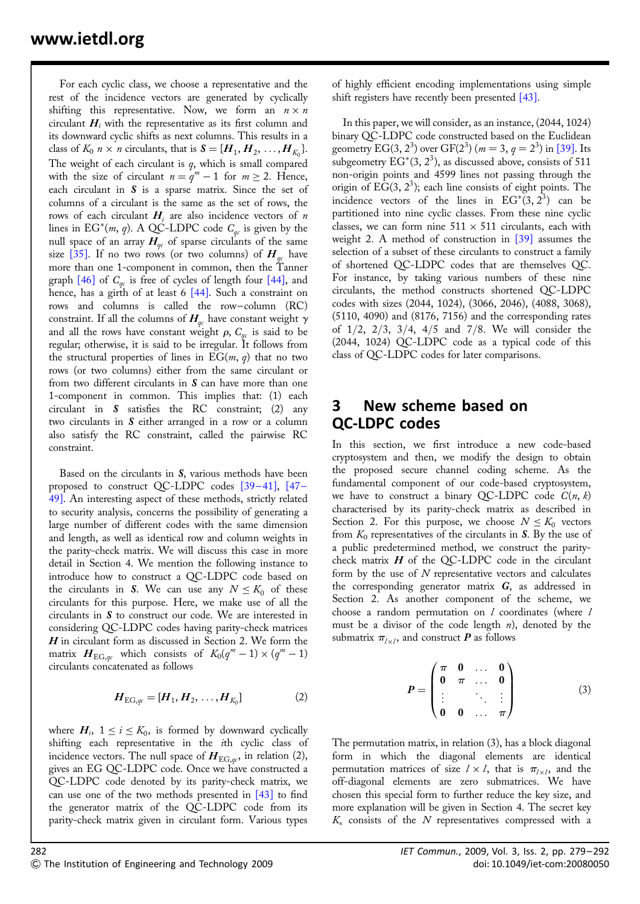For each cyclic class, we choose a representative and the rest of the incidence vectors are generated by cyclically shifting this representative. Now, we form an  $n \times n$ circulant  $H_i$  with the representative as its first column and its downward cyclic shifts as next columns. This results in a class of  $K_0$   $n \times n$  circulants, that is  $\mathbf{S} = \{\boldsymbol{H}_1, \boldsymbol{H}_2, \dots, \boldsymbol{H}_{K_0}\}.$ The weight of each circulant is  $q$ , which is small compared with the size of circulant  $n = q^m - 1$  for  $m \ge 2$ . Hence, each circulant in  $S$  is a sparse matrix. Since the set of columns of a circulant is the same as the set of rows, the rows of each circulant  $H_i$  are also incidence vectors of n lines in EG<sup>\*</sup>(*m*, *q*). A QC-LDPC code  $C_{qc}$  is given by the null space of an array  $H_{ac}$  of sparse circulants of the same size [35]. If no two rows (or two columns) of  $H_{\alpha}$  have more than one 1-component in common, then the Tanner graph  $[46]$  of  $C_{\alpha\beta}$  is free of cycles of length four  $[44]$ , and hence, has a girth of at least 6 [44]. Such a constraint on rows and columns is called the row–column (RC) constraint. If all the columns of  $H_{qc}$  have constant weight  $\gamma$ and all the rows have constant weight  $\rho$ ,  $C_{qc}$  is said to be regular; otherwise, it is said to be irregular. It follows from the structural properties of lines in  $EG(m, q)$  that no two rows (or two columns) either from the same circulant or from two different circulants in  $S$  can have more than one 1-component in common. This implies that: (1) each circulant in  $S$  satisfies the RC constraint; (2) any two circulants in  $S$  either arranged in a row or a column also satisfy the RC constraint, called the pairwise RC constraint.

Based on the circulants in S, various methods have been proposed to construct QC-LDPC codes [39-41], [47-49]. An interesting aspect of these methods, strictly related to security analysis, concerns the possibility of generating a large number of different codes with the same dimension and length, as well as identical row and column weights in the parity-check matrix. We will discuss this case in more detail in Section 4. We mention the following instance to introduce how to construct a QC-LDPC code based on the circulants in S. We can use any  $N \leq K_0$  of these circulants for this purpose. Here, we make use of all the circulants in S to construct our code. We are interested in considering QC-LDPC codes having parity-check matrices  $H$  in circulant form as discussed in Section 2. We form the matrix  $\boldsymbol{H}_{\text{EG},qc}$  which consists of  $K_0(q^m-1) \times (q^m-1)$ circulants concatenated as follows

$$
H_{\text{EG},qc} = [H_1, H_2, \dots, H_{K_0}]
$$
 (2)

where  $H_i$ ,  $1 \le i \le K_0$ , is formed by downward cyclically shifting each representative in the ith cyclic class of incidence vectors. The null space of  $H_{\text{EG},qc}$ , in relation (2), gives an EG QC-LDPC code. Once we have constructed a QC-LDPC code denoted by its parity-check matrix, we can use one of the two methods presented in [43] to find the generator matrix of the QC-LDPC code from its parity-check matrix given in circulant form. Various types of highly efficient encoding implementations using simple shift registers have recently been presented [43].

In this paper, we will consider, as an instance, (2044, 1024) binary QC-LDPC code constructed based on the Euclidean geometry EG(3, 2<sup>3</sup>) over GF(2<sup>3</sup>) ( $m = 3$ ,  $q = 2^3$ ) in [39]. Its subgeometry  $EG^*(3, 2^3)$ , as discussed above, consists of 511 non-origin points and 4599 lines not passing through the origin of  $EG(3, 2^3)$ ; each line consists of eight points. The incidence vectors of the lines in  $EG^*(3, 2^3)$  can be partitioned into nine cyclic classes. From these nine cyclic classes, we can form nine  $511 \times 511$  circulants, each with weight 2. A method of construction in [39] assumes the selection of a subset of these circulants to construct a family of shortened QC-LDPC codes that are themselves QC. For instance, by taking various numbers of these nine circulants, the method constructs shortened QC-LDPC codes with sizes (2044, 1024), (3066, 2046), (4088, 3068), (5110, 4090) and (8176, 7156) and the corresponding rates of 1/2, 2/3, 3/4, 4/5 and 7/8. We will consider the (2044, 1024) QC-LDPC code as a typical code of this class of QC-LDPC codes for later comparisons.

## 3 New scheme based on QC-LDPC codes

In this section, we first introduce a new code-based cryptosystem and then, we modify the design to obtain the proposed secure channel coding scheme. As the fundamental component of our code-based cryptosystem, we have to construct a binary QC-LDPC code  $C(n, k)$ characterised by its parity-check matrix as described in Section 2. For this purpose, we choose  $N \leq K_0$  vectors from  $K_0$  representatives of the circulants in  $S$ . By the use of a public predetermined method, we construct the paritycheck matrix  $H$  of the QC-LDPC code in the circulant form by the use of  $N$  representative vectors and calculates the corresponding generator matrix  $G$ , as addressed in Section 2. As another component of the scheme, we choose a random permutation on  $l$  coordinates (where  $l$ must be a divisor of the code length  $n$ ), denoted by the submatrix  $\pi_{l \times l}$ , and construct **P** as follows

$$
P = \begin{pmatrix} \pi & 0 & \dots & 0 \\ 0 & \pi & \dots & 0 \\ \vdots & & \ddots & \vdots \\ 0 & 0 & \dots & \pi \end{pmatrix}
$$
 (3)

The permutation matrix, in relation (3), has a block diagonal form in which the diagonal elements are identical permutation matrices of size  $l \times l$ , that is  $\pi_{l \times l}$ , and the off-diagonal elements are zero submatrices. We have chosen this special form to further reduce the key size, and more explanation will be given in Section 4. The secret key  $K<sub>s</sub>$  consists of the  $N$  representatives compressed with a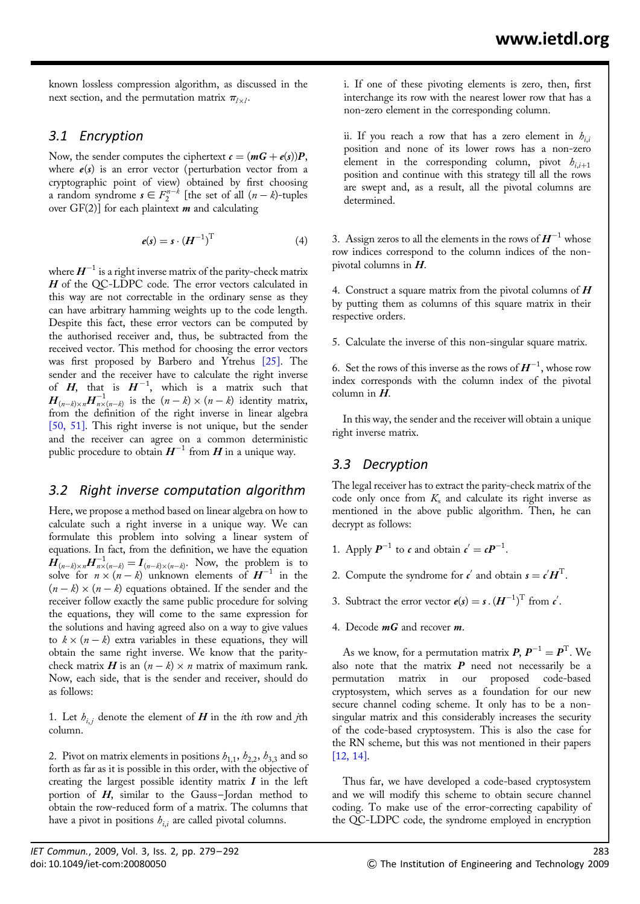known lossless compression algorithm, as discussed in the next section, and the permutation matrix  $\pi_{l \times l}$ .

#### 3.1 Encryption

Now, the sender computes the ciphertext  $c = (mG + e(s))P$ , where  $e(s)$  is an error vector (perturbation vector from a cryptographic point of view) obtained by first choosing a random syndrome  $s \in F_2^{n-k}$  [the set of all  $(n-k)$ -tuples over  $GF(2)$  for each plaintext **m** and calculating

$$
e(s) = s \cdot (H^{-1})^{\mathrm{T}} \tag{4}
$$

where  $\boldsymbol{H}^{-1}$  is a right inverse matrix of the parity-check matrix  $H$  of the QC-LDPC code. The error vectors calculated in this way are not correctable in the ordinary sense as they can have arbitrary hamming weights up to the code length. Despite this fact, these error vectors can be computed by the authorised receiver and, thus, be subtracted from the received vector. This method for choosing the error vectors was first proposed by Barbero and Ytrehus [25]. The sender and the receiver have to calculate the right inverse of H, that is  $H^{-1}$ , which is a matrix such that  $\boldsymbol{H}_{(n-k)\times n} \boldsymbol{H}_{n\times (n-k)}^{-1}$  is the  $(n-k)\times (n-k)$  identity matrix, from the definition of the right inverse in linear algebra [50, 51]. This right inverse is not unique, but the sender and the receiver can agree on a common deterministic public procedure to obtain  $H^{-1}$  from  $H$  in a unique way.

#### 3.2 Right inverse computation algorithm

Here, we propose a method based on linear algebra on how to calculate such a right inverse in a unique way. We can formulate this problem into solving a linear system of equations. In fact, from the definition, we have the equation  $\vec{H}_{(n-k)\times n} \vec{H}_{n\times (n-k)}^{-1} = I_{(n-k)\times (n-k)}.$  Now, the problem is to solve for  $n \times (n-k)$  unknown elements of  $H^{-1}$  in the  $(n - k) \times (n - k)$  equations obtained. If the sender and the receiver follow exactly the same public procedure for solving the equations, they will come to the same expression for the solutions and having agreed also on a way to give values to  $k \times (n - k)$  extra variables in these equations, they will obtain the same right inverse. We know that the paritycheck matrix H is an  $(n - k) \times n$  matrix of maximum rank. Now, each side, that is the sender and receiver, should do as follows:

1. Let  $h_{i,j}$  denote the element of H in the *i*th row and *j*th column.

2. Pivot on matrix elements in positions  $h_{1,1}$ ,  $h_{2,2}$ ,  $h_{3,3}$  and so forth as far as it is possible in this order, with the objective of creating the largest possible identity matrix  $I$  in the left portion of  $H$ , similar to the Gauss-Jordan method to obtain the row-reduced form of a matrix. The columns that have a pivot in positions  $h_{i,i}$  are called pivotal columns.

i. If one of these pivoting elements is zero, then, first interchange its row with the nearest lower row that has a non-zero element in the corresponding column.

ii. If you reach a row that has a zero element in  $h_{ij}$ position and none of its lower rows has a non-zero element in the corresponding column, pivot  $h_{i,i+1}$ position and continue with this strategy till all the rows are swept and, as a result, all the pivotal columns are determined.

3. Assign zeros to all the elements in the rows of  $\boldsymbol{H}^{-1}$  whose row indices correspond to the column indices of the nonpivotal columns in  $H$ .

4. Construct a square matrix from the pivotal columns of  $H$ by putting them as columns of this square matrix in their respective orders.

5. Calculate the inverse of this non-singular square matrix.

6. Set the rows of this inverse as the rows of  $H^{-1}$ , whose row index corresponds with the column index of the pivotal column in  $\overline{H}$ .

In this way, the sender and the receiver will obtain a unique right inverse matrix.

### 3.3 Decryption

The legal receiver has to extract the parity-check matrix of the code only once from  $K<sub>s</sub>$  and calculate its right inverse as mentioned in the above public algorithm. Then, he can decrypt as follows:

- 1. Apply  $\boldsymbol{P}^{-1}$  to  $\boldsymbol{c}$  and obtain  $\boldsymbol{c}' = \boldsymbol{c} \boldsymbol{P}^{-1}$ .
- 2. Compute the syndrome for  $c'$  and obtain  $s = c'H^T$ .
- 3. Subtract the error vector  $e(s) = s \cdot (H^{-1})^T$  from  $c'$ .
- 4. Decode  $mG$  and recover  $m$ .

As we know, for a permutation matrix  $\bm{P}\!,\bm{P}^{-1}=\bm{P}^{\text{T}}\!,\text{ We}$ also note that the matrix  $P$  need not necessarily be a permutation matrix in our proposed code-based cryptosystem, which serves as a foundation for our new secure channel coding scheme. It only has to be a nonsingular matrix and this considerably increases the security of the code-based cryptosystem. This is also the case for the RN scheme, but this was not mentioned in their papers [12, 14].

Thus far, we have developed a code-based cryptosystem and we will modify this scheme to obtain secure channel coding. To make use of the error-correcting capability of the QC-LDPC code, the syndrome employed in encryption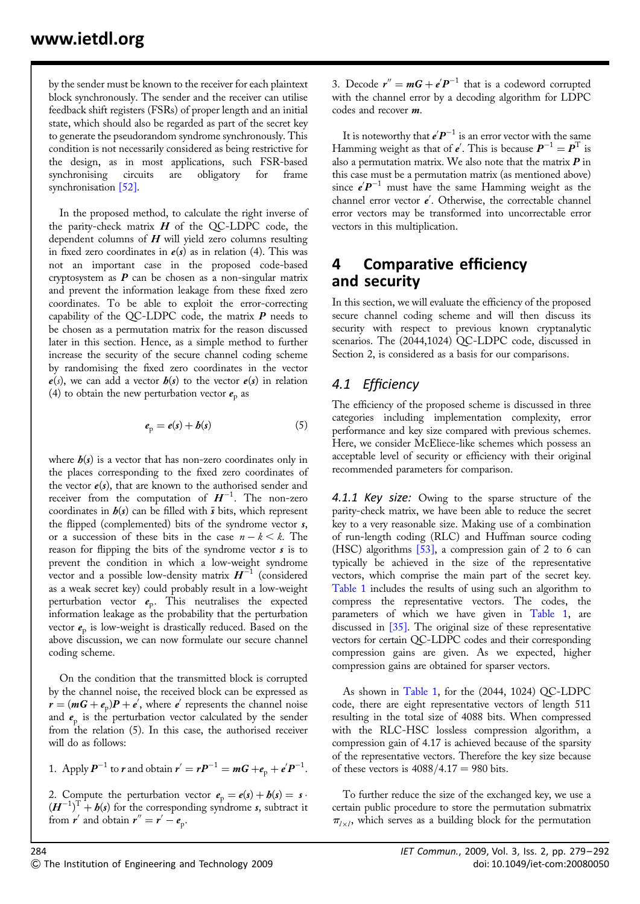by the sender must be known to the receiver for each plaintext block synchronously. The sender and the receiver can utilise feedback shift registers (FSRs) of proper length and an initial state, which should also be regarded as part of the secret key to generate the pseudorandom syndrome synchronously. This condition is not necessarily considered as being restrictive for the design, as in most applications, such FSR-based synchronising circuits are obligatory for frame synchronisation [52].

In the proposed method, to calculate the right inverse of the parity-check matrix  $H$  of the QC-LDPC code, the dependent columns of  $H$  will yield zero columns resulting in fixed zero coordinates in  $e(s)$  as in relation (4). This was not an important case in the proposed code-based cryptosystem as  $P$  can be chosen as a non-singular matrix and prevent the information leakage from these fixed zero coordinates. To be able to exploit the error-correcting capability of the QC-LDPC code, the matrix  $P$  needs to be chosen as a permutation matrix for the reason discussed later in this section. Hence, as a simple method to further increase the security of the secure channel coding scheme by randomising the fixed zero coordinates in the vector  $e(s)$ , we can add a vector  $b(s)$  to the vector  $e(s)$  in relation (4) to obtain the new perturbation vector  $e_p$  as

$$
e_{\rm p} = e(s) + b(s) \tag{5}
$$

where  $h(s)$  is a vector that has non-zero coordinates only in the places corresponding to the fixed zero coordinates of the vector  $e(s)$ , that are known to the authorised sender and receiver from the computation of  $H^{-1}$ . The non-zero coordinates in  $h(s)$  can be filled with  $\bar{s}$  bits, which represent the flipped (complemented) bits of the syndrome vector  $s$ , or a succession of these bits in the case  $n - k < k$ . The reason for flipping the bits of the syndrome vector  $s$  is to prevent the condition in which a low-weight syndrome vector and a possible low-density matrix  $\boldsymbol{H}^\mathbb{-1}$  (considered as a weak secret key) could probably result in a low-weight perturbation vector  $e_p$ . This neutralises the expected information leakage as the probability that the perturbation vector  $e_p$  is low-weight is drastically reduced. Based on the above discussion, we can now formulate our secure channel coding scheme.

On the condition that the transmitted block is corrupted by the channel noise, the received block can be expressed as  $r = (mG + e_p)P + e'$ , where  $e'$  represents the channel noise and  $e_p$  is the perturbation vector calculated by the sender from the relation (5). In this case, the authorised receiver will do as follows:

1. Apply  $P^{-1}$  to r and obtain  $r' = rP^{-1} = mG + e_p + e'P^{-1}$ .

2. Compute the perturbation vector  $e_p = e(s) + b(s) = s$ .  $(H^{-1})^T + b(s)$  for the corresponding syndrome s, subtract it from  $r'$  and obtain  $r'' = r' - e_p$ .

3. Decode  $r'' = mG + e'P^{-1}$  that is a codeword corrupted with the channel error by a decoding algorithm for LDPC codes and recover m.

It is noteworthy that  $e' \boldsymbol{P}^{-1}$  is an error vector with the same Hamming weight as that of  $e'.$  This is because  $\boldsymbol{P}^{-1} = \boldsymbol{P}^{\text{T}}$  is also a permutation matrix. We also note that the matrix  $P$  in this case must be a permutation matrix (as mentioned above) since  $e'P^{-1}$  must have the same Hamming weight as the channel error vector  $e'$ . Otherwise, the correctable channel error vectors may be transformed into uncorrectable error vectors in this multiplication.

## 4 Comparative efficiency and security

In this section, we will evaluate the efficiency of the proposed secure channel coding scheme and will then discuss its security with respect to previous known cryptanalytic scenarios. The (2044,1024) QC-LDPC code, discussed in Section 2, is considered as a basis for our comparisons.

#### 4.1 Efficiency

The efficiency of the proposed scheme is discussed in three categories including implementation complexity, error performance and key size compared with previous schemes. Here, we consider McEliece-like schemes which possess an acceptable level of security or efficiency with their original recommended parameters for comparison.

4.1.1 Key size: Owing to the sparse structure of the parity-check matrix, we have been able to reduce the secret key to a very reasonable size. Making use of a combination of run-length coding (RLC) and Huffman source coding (HSC) algorithms [53], a compression gain of 2 to 6 can typically be achieved in the size of the representative vectors, which comprise the main part of the secret key. Table 1 includes the results of using such an algorithm to compress the representative vectors. The codes, the parameters of which we have given in Table 1, are discussed in [35]. The original size of these representative vectors for certain QC-LDPC codes and their corresponding compression gains are given. As we expected, higher compression gains are obtained for sparser vectors.

As shown in Table 1, for the (2044, 1024) QC-LDPC code, there are eight representative vectors of length 511 resulting in the total size of 4088 bits. When compressed with the RLC-HSC lossless compression algorithm, a compression gain of 4.17 is achieved because of the sparsity of the representative vectors. Therefore the key size because of these vectors is  $4088/4.17 = 980$  bits.

To further reduce the size of the exchanged key, we use a certain public procedure to store the permutation submatrix  $\pi_{l \times l}$ , which serves as a building block for the permutation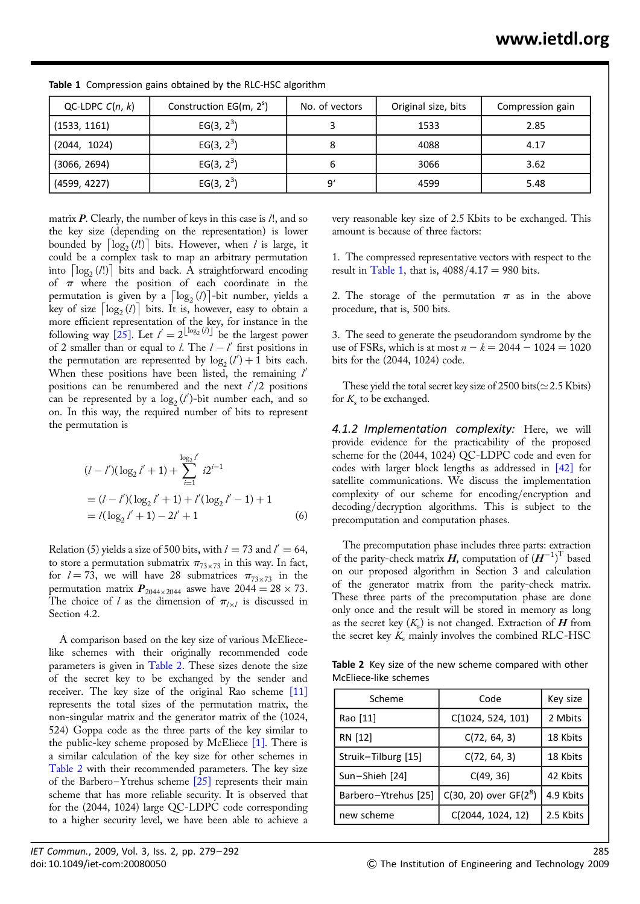| $QC-LDPC C(n, k)$ | Construction EG(m, $2^s$ ) | No. of vectors | Original size, bits | Compression gain |
|-------------------|----------------------------|----------------|---------------------|------------------|
| (1533, 1161)      | EG(3, $2^3$ )              |                | 1533                | 2.85             |
| (2044, 1024)      | EG(3, $2^3$ )              |                | 4088                | 4.17             |
| (3066, 2694)      | EG(3, $2^3$ )              | ь              | 3066                | 3.62             |
| (4599, 4227)      | EG(3, $2^3$ )              | ٩ʻ             | 4599                | 5.48             |

Table 1 Compression gains obtained by the RLC-HSC algorithm

matrix  $P$ . Clearly, the number of keys in this case is  $l$ !, and so the key size (depending on the representation) is lower bounded by  $\lceil \log_2(l!) \rceil$  bits. However, when l is large, it could be a complex task to map an arbitrary permutation into  $\lceil \log_2(l!) \rceil$  bits and back. A straightforward encoding of  $\pi$  where the position of each coordinate in the permutation is given by a  $\lceil \log_2(l) \rceil$ -bit number, yields a key of size  $\lceil \log_2(l) \rceil$  bits. It is, however, easy to obtain a more efficient representation of the key, for instance in the following way [25]. Let  $l' = 2^{\lfloor \log_2(l) \rfloor}$  be the largest power of 2 smaller than or equal to  $l$ . The  $l - l'$  first positions in the permutation are represented by  $\log_2 (l') + 1$  bits each. When these positions have been listed, the remaining  $l'$ positions can be renumbered and the next  $l'/2$  positions can be represented by a  $log_2(l')$ -bit number each, and so on. In this way, the required number of bits to represent the permutation is

$$
(l - l')(\log_2 l' + 1) + \sum_{i=1}^{\log_2 l'} i2^{i-1}
$$
  
=  $(l - l')(\log_2 l' + 1) + l'(\log_2 l' - 1) + 1$   
=  $l(\log_2 l' + 1) - 2l' + 1$  (6)

Relation (5) yields a size of 500 bits, with  $l = 73$  and  $l' = 64$ , to store a permutation submatrix  $\pi_{73\times73}$  in this way. In fact, for  $l = 73$ , we will have 28 submatrices  $\pi_{73 \times 73}$  in the permutation matrix  $P_{2044\times2044}$  aswe have  $2044 = 28 \times 73$ . The choice of l as the dimension of  $\pi_{l \times l}$  is discussed in Section 4.2.

A comparison based on the key size of various McEliecelike schemes with their originally recommended code parameters is given in Table 2. These sizes denote the size of the secret key to be exchanged by the sender and receiver. The key size of the original Rao scheme [11] represents the total sizes of the permutation matrix, the non-singular matrix and the generator matrix of the (1024, 524) Goppa code as the three parts of the key similar to the public-key scheme proposed by McEliece  $[1]$ . There is a similar calculation of the key size for other schemes in Table 2 with their recommended parameters. The key size of the Barbero–Ytrehus scheme  $\sqrt{25}$  represents their main scheme that has more reliable security. It is observed that for the (2044, 1024) large QC-LDPC code corresponding to a higher security level, we have been able to achieve a

very reasonable key size of 2.5 Kbits to be exchanged. This amount is because of three factors:

1. The compressed representative vectors with respect to the result in Table 1, that is,  $4088/4.17 = 980$  bits.

2. The storage of the permutation  $\pi$  as in the above procedure, that is, 500 bits.

3. The seed to generate the pseudorandom syndrome by the use of FSRs, which is at most  $n - k = 2044 - 1024 = 1020$ bits for the (2044, 1024) code.

These yield the total secret key size of 2500 bits( $\simeq$  2.5 Kbits) for  $K_s$  to be exchanged.

4.1.2 Implementation complexity: Here, we will provide evidence for the practicability of the proposed scheme for the (2044, 1024) QC-LDPC code and even for codes with larger block lengths as addressed in [42] for satellite communications. We discuss the implementation complexity of our scheme for encoding/encryption and decoding/decryption algorithms. This is subject to the precomputation and computation phases.

The precomputation phase includes three parts: extraction of the parity-check matrix H, computation of  $(H^{-1})^T$  based on our proposed algorithm in Section 3 and calculation of the generator matrix from the parity-check matrix. These three parts of the precomputation phase are done only once and the result will be stored in memory as long as the secret key  $(K_{s})$  is not changed. Extraction of H from the secret key  $K_s$  mainly involves the combined RLC-HSC

Table 2 Key size of the new scheme compared with other McEliece-like schemes

| Scheme               | Code                     | Key size  |
|----------------------|--------------------------|-----------|
| Rao [11]             | C(1024, 524, 101)        | 2 Mbits   |
| RN [12]              | C(72, 64, 3)             | 18 Kbits  |
| Struik-Tilburg [15]  | C(72, 64, 3)             | 18 Kbits  |
| Sun-Shieh [24]       | C(49, 36)                | 42 Kbits  |
| Barbero-Ytrehus [25] | C(30, 20) over $GF(2^8)$ | 4.9 Kbits |
| new scheme           | C(2044, 1024, 12)        | 2.5 Kbits |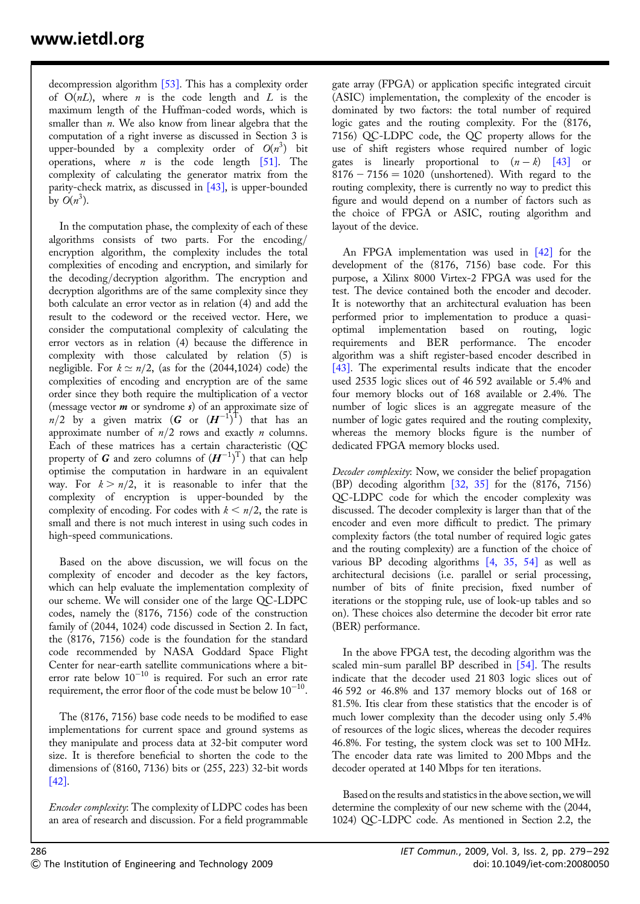decompression algorithm [53]. This has a complexity order of  $O(nL)$ , where *n* is the code length and *L* is the maximum length of the Huffman-coded words, which is smaller than  $n$ . We also know from linear algebra that the computation of a right inverse as discussed in Section 3 is upper-bounded by a complexity order of  $O(n^3)$  bit operations, where *n* is the code length  $[51]$ . The complexity of calculating the generator matrix from the parity-check matrix, as discussed in [43], is upper-bounded by  $O(n^3)$ .

In the computation phase, the complexity of each of these algorithms consists of two parts. For the encoding/ encryption algorithm, the complexity includes the total complexities of encoding and encryption, and similarly for the decoding/decryption algorithm. The encryption and decryption algorithms are of the same complexity since they both calculate an error vector as in relation (4) and add the result to the codeword or the received vector. Here, we consider the computational complexity of calculating the error vectors as in relation (4) because the difference in complexity with those calculated by relation (5) is negligible. For  $k \approx n/2$ , (as for the (2044,1024) code) the complexities of encoding and encryption are of the same order since they both require the multiplication of a vector (message vector  $m$  or syndrome  $s$ ) of an approximate size of  $n/2$  by a given matrix  $(G \text{ or } (H^{-1})^T)$  that has an approximate number of  $n/2$  rows and exactly *n* columns. Each of these matrices has a certain characteristic (QC property of  $G$  and zero columns of  $(H^{-1})^T)$  that can help optimise the computation in hardware in an equivalent way. For  $k > n/2$ , it is reasonable to infer that the complexity of encryption is upper-bounded by the complexity of encoding. For codes with  $k < n/2$ , the rate is small and there is not much interest in using such codes in high-speed communications.

Based on the above discussion, we will focus on the complexity of encoder and decoder as the key factors, which can help evaluate the implementation complexity of our scheme. We will consider one of the large QC-LDPC codes, namely the (8176, 7156) code of the construction family of (2044, 1024) code discussed in Section 2. In fact, the (8176, 7156) code is the foundation for the standard code recommended by NASA Goddard Space Flight Center for near-earth satellite communications where a biterror rate below  $10^{-10}$  is required. For such an error rate requirement, the error floor of the code must be below  $10^{-10}$ .

The (8176, 7156) base code needs to be modified to ease implementations for current space and ground systems as they manipulate and process data at 32-bit computer word size. It is therefore beneficial to shorten the code to the dimensions of (8160, 7136) bits or (255, 223) 32-bit words [42].

Encoder complexity: The complexity of LDPC codes has been an area of research and discussion. For a field programmable

gate array (FPGA) or application specific integrated circuit (ASIC) implementation, the complexity of the encoder is dominated by two factors: the total number of required logic gates and the routing complexity. For the (8176, 7156) QC-LDPC code, the QC property allows for the use of shift registers whose required number of logic gates is linearly proportional to  $(n-k)$  [43] or  $8176 - 7156 = 1020$  (unshortened). With regard to the routing complexity, there is currently no way to predict this figure and would depend on a number of factors such as the choice of FPGA or ASIC, routing algorithm and layout of the device.

An FPGA implementation was used in [42] for the development of the (8176, 7156) base code. For this purpose, a Xilinx 8000 Virtex-2 FPGA was used for the test. The device contained both the encoder and decoder. It is noteworthy that an architectural evaluation has been performed prior to implementation to produce a quasioptimal implementation based on routing, logic requirements and BER performance. The encoder algorithm was a shift register-based encoder described in [43]. The experimental results indicate that the encoder used 2535 logic slices out of 46 592 available or 5.4% and four memory blocks out of 168 available or 2.4%. The number of logic slices is an aggregate measure of the number of logic gates required and the routing complexity, whereas the memory blocks figure is the number of dedicated FPGA memory blocks used.

Decoder complexity: Now, we consider the belief propagation (BP) decoding algorithm [32, 35] for the (8176, 7156) QC-LDPC code for which the encoder complexity was discussed. The decoder complexity is larger than that of the encoder and even more difficult to predict. The primary complexity factors (the total number of required logic gates and the routing complexity) are a function of the choice of various BP decoding algorithms [4, 35, 54] as well as architectural decisions (i.e. parallel or serial processing, number of bits of finite precision, fixed number of iterations or the stopping rule, use of look-up tables and so on). These choices also determine the decoder bit error rate (BER) performance.

In the above FPGA test, the decoding algorithm was the scaled min-sum parallel BP described in [54]. The results indicate that the decoder used 21 803 logic slices out of 46 592 or 46.8% and 137 memory blocks out of 168 or 81.5%. Itis clear from these statistics that the encoder is of much lower complexity than the decoder using only 5.4% of resources of the logic slices, whereas the decoder requires 46.8%. For testing, the system clock was set to 100 MHz. The encoder data rate was limited to 200 Mbps and the decoder operated at 140 Mbps for ten iterations.

Based on the results and statistics in the above section, we will determine the complexity of our new scheme with the (2044, 1024) QC-LDPC code. As mentioned in Section 2.2, the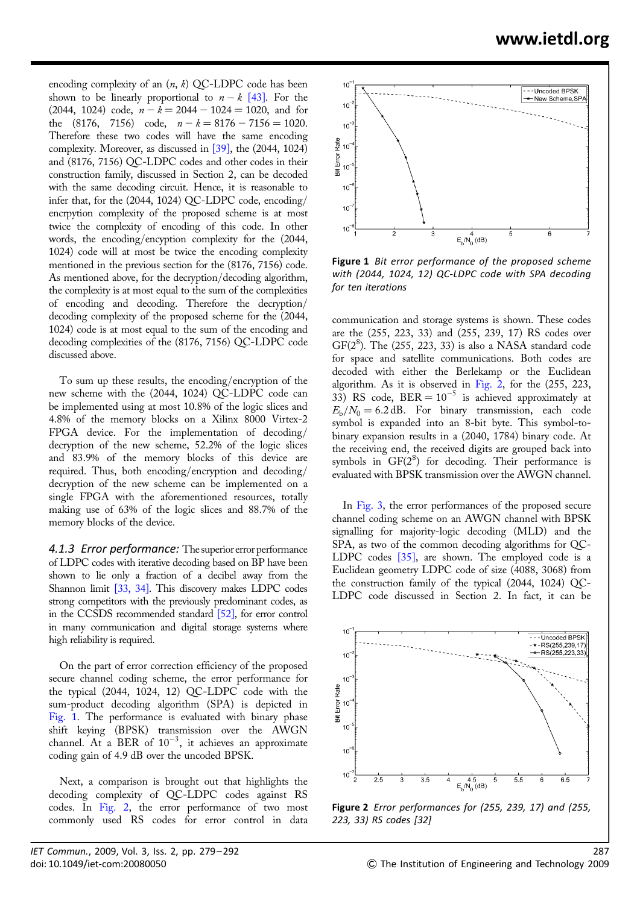encoding complexity of an  $(n, k)$  QC-LDPC code has been shown to be linearly proportional to  $n - k$  [43]. For the (2044, 1024) code,  $n - k = 2044 - 1024 = 1020$ , and for the  $(8176, 7156)$  code,  $n - k = 8176 - 7156 = 1020$ . Therefore these two codes will have the same encoding complexity. Moreover, as discussed in  $\left[39\right]$ , the (2044, 1024) and (8176, 7156) QC-LDPC codes and other codes in their construction family, discussed in Section 2, can be decoded with the same decoding circuit. Hence, it is reasonable to infer that, for the (2044, 1024) QC-LDPC code, encoding/ encrpytion complexity of the proposed scheme is at most twice the complexity of encoding of this code. In other words, the encoding/encyption complexity for the (2044, 1024) code will at most be twice the encoding complexity mentioned in the previous section for the (8176, 7156) code. As mentioned above, for the decryption/decoding algorithm, the complexity is at most equal to the sum of the complexities of encoding and decoding. Therefore the decryption/ decoding complexity of the proposed scheme for the (2044, 1024) code is at most equal to the sum of the encoding and decoding complexities of the (8176, 7156) QC-LDPC code discussed above.

To sum up these results, the encoding/encryption of the new scheme with the (2044, 1024) QC-LDPC code can be implemented using at most 10.8% of the logic slices and 4.8% of the memory blocks on a Xilinx 8000 Virtex-2 FPGA device. For the implementation of decoding/ decryption of the new scheme, 52.2% of the logic slices and 83.9% of the memory blocks of this device are required. Thus, both encoding/encryption and decoding/ decryption of the new scheme can be implemented on a single FPGA with the aforementioned resources, totally making use of 63% of the logic slices and 88.7% of the memory blocks of the device.

4.1.3 Error performance: The superior error performance of LDPC codes with iterative decoding based on BP have been shown to lie only a fraction of a decibel away from the Shannon limit [33, 34]. This discovery makes LDPC codes strong competitors with the previously predominant codes, as in the CCSDS recommended standard [52], for error control in many communication and digital storage systems where high reliability is required.

On the part of error correction efficiency of the proposed secure channel coding scheme, the error performance for the typical (2044, 1024, 12) QC-LDPC code with the sum-product decoding algorithm (SPA) is depicted in Fig. 1. The performance is evaluated with binary phase shift keying (BPSK) transmission over the AWGN channel. At a BER of  $10^{-3}$ , it achieves an approximate coding gain of 4.9 dB over the uncoded BPSK.

Next, a comparison is brought out that highlights the decoding complexity of QC-LDPC codes against RS codes. In Fig. 2, the error performance of two most commonly used RS codes for error control in data



Figure 1 Bit error performance of the proposed scheme with (2044, 1024, 12) QC-LDPC code with SPA decoding for ten iterations

communication and storage systems is shown. These codes are the (255, 223, 33) and (255, 239, 17) RS codes over GF(2<sup>8</sup> ). The (255, 223, 33) is also a NASA standard code for space and satellite communications. Both codes are decoded with either the Berlekamp or the Euclidean algorithm. As it is observed in Fig. 2, for the (255, 223, 33) RS code,  $BER = 10^{-5}$  is achieved approximately at  $E_{\rm b}/N_0 = 6.2$  dB. For binary transmission, each code symbol is expanded into an 8-bit byte. This symbol-tobinary expansion results in a (2040, 1784) binary code. At the receiving end, the received digits are grouped back into symbols in  $GF(2^8)$  for decoding. Their performance is evaluated with BPSK transmission over the AWGN channel.

In Fig. 3, the error performances of the proposed secure channel coding scheme on an AWGN channel with BPSK signalling for majority-logic decoding (MLD) and the SPA, as two of the common decoding algorithms for QC-LDPC codes [35], are shown. The employed code is a Euclidean geometry LDPC code of size (4088, 3068) from the construction family of the typical (2044, 1024) QC-LDPC code discussed in Section 2. In fact, it can be



Figure 2 Error performances for (255, 239, 17) and (255, 223, 33) RS codes [32]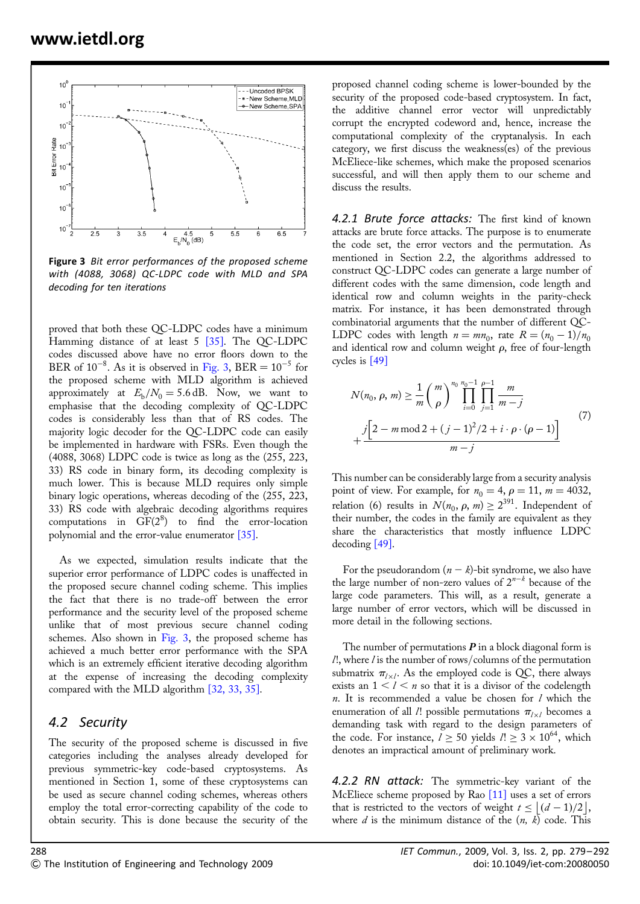

Figure 3 Bit error performances of the proposed scheme with (4088, 3068) QC-LDPC code with MLD and SPA decoding for ten iterations

proved that both these QC-LDPC codes have a minimum Hamming distance of at least 5 [35]. The QC-LDPC codes discussed above have no error floors down to the BER of  $10^{-8}$ . As it is observed in Fig. 3, BER =  $10^{-5}$  for the proposed scheme with MLD algorithm is achieved approximately at  $E_b/N_0 = 5.6$  dB. Now, we want to emphasise that the decoding complexity of QC-LDPC codes is considerably less than that of RS codes. The majority logic decoder for the QC-LDPC code can easily be implemented in hardware with FSRs. Even though the (4088, 3068) LDPC code is twice as long as the (255, 223, 33) RS code in binary form, its decoding complexity is much lower. This is because MLD requires only simple binary logic operations, whereas decoding of the (255, 223, 33) RS code with algebraic decoding algorithms requires computations in  $\text{GF}(2^8)$  to find the error-location polynomial and the error-value enumerator [35].

As we expected, simulation results indicate that the superior error performance of LDPC codes is unaffected in the proposed secure channel coding scheme. This implies the fact that there is no trade-off between the error performance and the security level of the proposed scheme unlike that of most previous secure channel coding schemes. Also shown in Fig. 3, the proposed scheme has achieved a much better error performance with the SPA which is an extremely efficient iterative decoding algorithm at the expense of increasing the decoding complexity compared with the MLD algorithm [32, 33, 35].

#### 4.2 Security

The security of the proposed scheme is discussed in five categories including the analyses already developed for previous symmetric-key code-based cryptosystems. As mentioned in Section 1, some of these cryptosystems can be used as secure channel coding schemes, whereas others employ the total error-correcting capability of the code to obtain security. This is done because the security of the proposed channel coding scheme is lower-bounded by the security of the proposed code-based cryptosystem. In fact, the additive channel error vector will unpredictably corrupt the encrypted codeword and, hence, increase the computational complexity of the cryptanalysis. In each category, we first discuss the weakness(es) of the previous McEliece-like schemes, which make the proposed scenarios successful, and will then apply them to our scheme and discuss the results.

4.2.1 Brute force attacks: The first kind of known attacks are brute force attacks. The purpose is to enumerate the code set, the error vectors and the permutation. As mentioned in Section 2.2, the algorithms addressed to construct QC-LDPC codes can generate a large number of different codes with the same dimension, code length and identical row and column weights in the parity-check matrix. For instance, it has been demonstrated through combinatorial arguments that the number of different QC-LDPC codes with length  $n = mn_0$ , rate  $R = (n_0 - 1)/n_0$ and identical row and column weight  $\rho$ , free of four-length cycles is [49]

$$
N(n_0, \rho, m) \ge \frac{1}{m} {m \choose \rho}^{n_0} \prod_{i=0}^{n_0-1} \prod_{j=1}^{\rho-1} \frac{m}{m-j}
$$
  
+ 
$$
\frac{j[2-m \mod 2 + (j-1)^2/2 + i \cdot \rho \cdot (\rho-1)]}{m-j}
$$
(7)

This number can be considerably large from a security analysis point of view. For example, for  $n_0 = 4$ ,  $\rho = 11$ ,  $m = 4032$ , relation (6) results in  $N(n_0, \rho, m) \geq 2^{391}$ . Independent of their number, the codes in the family are equivalent as they share the characteristics that mostly influence LDPC decoding [49].

For the pseudorandom  $(n - k)$ -bit syndrome, we also have the large number of non-zero values of  $2^{n-k}$  because of the large code parameters. This will, as a result, generate a large number of error vectors, which will be discussed in more detail in the following sections.

The number of permutations  $P$  in a block diagonal form is  $l!$ , where l is the number of rows/columns of the permutation submatrix  $\pi_{l \times l}$ . As the employed code is QC, there always exists an  $1 < l < n$  so that it is a divisor of the codelength  $n.$  It is recommended a value be chosen for  $l$  which the enumeration of all *l*! possible permutations  $\pi_{l \times l}$  becomes a demanding task with regard to the design parameters of the code. For instance,  $l \ge 50$  yields  $l! \ge 3 \times 10^{64}$ , which denotes an impractical amount of preliminary work.

4.2.2 RN attack: The symmetric-key variant of the McEliece scheme proposed by Rao [11] uses a set of errors that is restricted to the vectors of weight  $t \leq |(d-1)/2|$ , where d is the minimum distance of the  $(n, k)$  code. This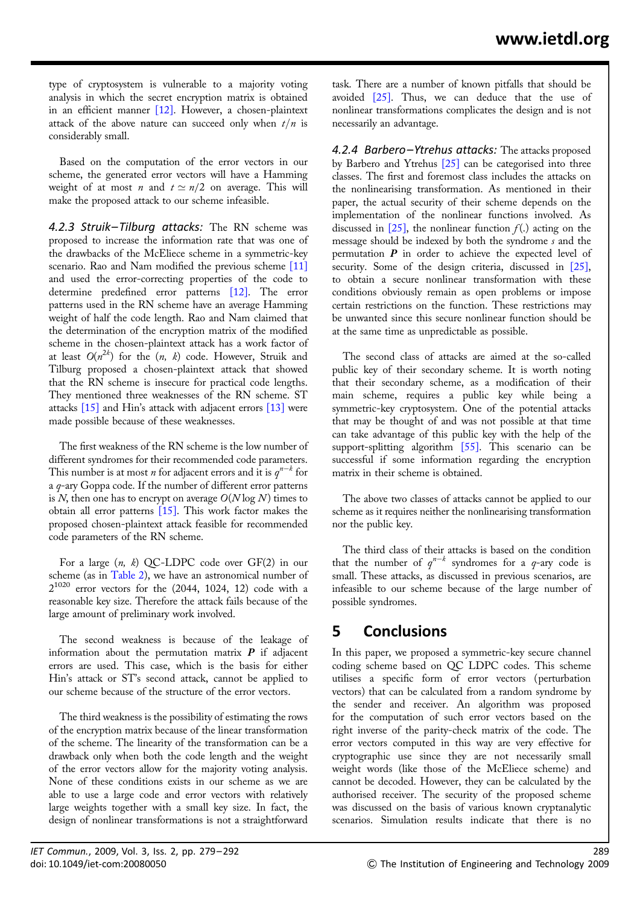type of cryptosystem is vulnerable to a majority voting analysis in which the secret encryption matrix is obtained in an efficient manner [12]. However, a chosen-plaintext attack of the above nature can succeed only when  $t/n$  is considerably small.

Based on the computation of the error vectors in our scheme, the generated error vectors will have a Hamming weight of at most n and  $t \approx n/2$  on average. This will make the proposed attack to our scheme infeasible.

4.2.3 Struik–Tilburg attacks: The RN scheme was proposed to increase the information rate that was one of the drawbacks of the McEliece scheme in a symmetric-key scenario. Rao and Nam modified the previous scheme [11] and used the error-correcting properties of the code to determine predefined error patterns [12]. The error patterns used in the RN scheme have an average Hamming weight of half the code length. Rao and Nam claimed that the determination of the encryption matrix of the modified scheme in the chosen-plaintext attack has a work factor of at least  $O(n^{2k})$  for the  $(n, k)$  code. However, Struik and Tilburg proposed a chosen-plaintext attack that showed that the RN scheme is insecure for practical code lengths. They mentioned three weaknesses of the RN scheme. ST attacks [15] and Hin's attack with adjacent errors [13] were made possible because of these weaknesses.

The first weakness of the RN scheme is the low number of different syndromes for their recommended code parameters. This number is at most *n* for adjacent errors and it is  $q^{n-k}$  for a q-ary Goppa code. If the number of different error patterns is  $N$ , then one has to encrypt on average  $O(N \log N)$  times to obtain all error patterns [15]. This work factor makes the proposed chosen-plaintext attack feasible for recommended code parameters of the RN scheme.

For a large  $(n, k)$  QC-LDPC code over GF(2) in our scheme (as in Table 2), we have an astronomical number of  $2^{1020}$  error vectors for the (2044, 1024, 12) code with a reasonable key size. Therefore the attack fails because of the large amount of preliminary work involved.

The second weakness is because of the leakage of information about the permutation matrix  $P$  if adjacent errors are used. This case, which is the basis for either Hin's attack or ST's second attack, cannot be applied to our scheme because of the structure of the error vectors.

The third weakness is the possibility of estimating the rows of the encryption matrix because of the linear transformation of the scheme. The linearity of the transformation can be a drawback only when both the code length and the weight of the error vectors allow for the majority voting analysis. None of these conditions exists in our scheme as we are able to use a large code and error vectors with relatively large weights together with a small key size. In fact, the design of nonlinear transformations is not a straightforward task. There are a number of known pitfalls that should be avoided [25]. Thus, we can deduce that the use of nonlinear transformations complicates the design and is not necessarily an advantage.

4.2.4 Barbero-Ytrehus attacks: The attacks proposed by Barbero and Ytrehus [25] can be categorised into three classes. The first and foremost class includes the attacks on the nonlinearising transformation. As mentioned in their paper, the actual security of their scheme depends on the implementation of the nonlinear functions involved. As discussed in  $[25]$ , the nonlinear function  $f(.)$  acting on the message should be indexed by both the syndrome s and the permutation  $P$  in order to achieve the expected level of security. Some of the design criteria, discussed in [25], to obtain a secure nonlinear transformation with these conditions obviously remain as open problems or impose certain restrictions on the function. These restrictions may be unwanted since this secure nonlinear function should be at the same time as unpredictable as possible.

The second class of attacks are aimed at the so-called public key of their secondary scheme. It is worth noting that their secondary scheme, as a modification of their main scheme, requires a public key while being a symmetric-key cryptosystem. One of the potential attacks that may be thought of and was not possible at that time can take advantage of this public key with the help of the support-splitting algorithm [55]. This scenario can be successful if some information regarding the encryption matrix in their scheme is obtained.

The above two classes of attacks cannot be applied to our scheme as it requires neither the nonlinearising transformation nor the public key.

The third class of their attacks is based on the condition that the number of  $q^{n-k}$  syndromes for a q-ary code is small. These attacks, as discussed in previous scenarios, are infeasible to our scheme because of the large number of possible syndromes.

# 5 Conclusions

In this paper, we proposed a symmetric-key secure channel coding scheme based on QC LDPC codes. This scheme utilises a specific form of error vectors (perturbation vectors) that can be calculated from a random syndrome by the sender and receiver. An algorithm was proposed for the computation of such error vectors based on the right inverse of the parity-check matrix of the code. The error vectors computed in this way are very effective for cryptographic use since they are not necessarily small weight words (like those of the McEliece scheme) and cannot be decoded. However, they can be calculated by the authorised receiver. The security of the proposed scheme was discussed on the basis of various known cryptanalytic scenarios. Simulation results indicate that there is no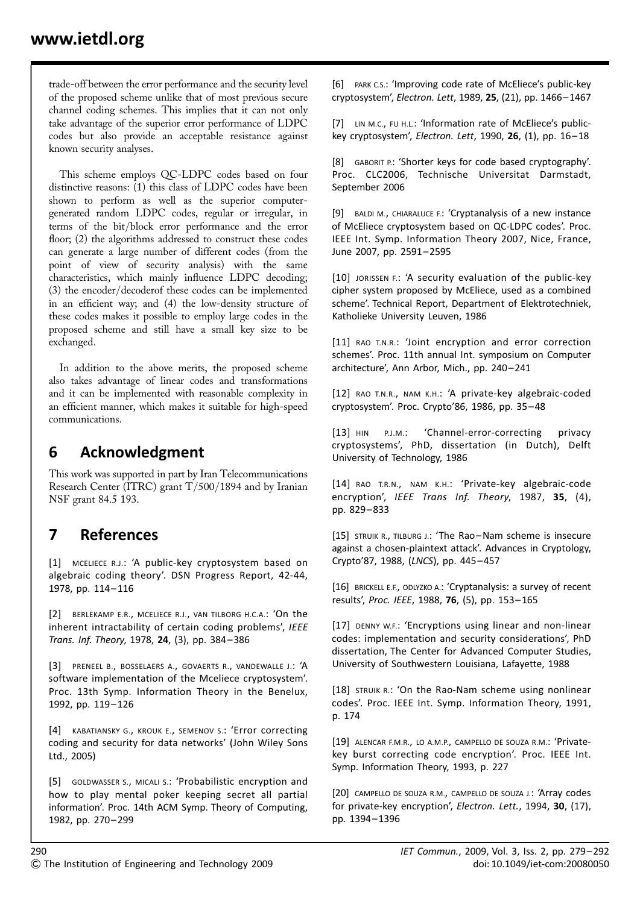trade-off between the error performance and the security level of the proposed scheme unlike that of most previous secure channel coding schemes. This implies that it can not only take advantage of the superior error performance of LDPC codes but also provide an acceptable resistance against known security analyses.

This scheme employs QC-LDPC codes based on four distinctive reasons: (1) this class of LDPC codes have been shown to perform as well as the superior computergenerated random LDPC codes, regular or irregular, in terms of the bit/block error performance and the error floor; (2) the algorithms addressed to construct these codes can generate a large number of different codes (from the point of view of security analysis) with the same characteristics, which mainly influence LDPC decoding; (3) the encoder/decoderof these codes can be implemented in an efficient way; and (4) the low-density structure of these codes makes it possible to employ large codes in the proposed scheme and still have a small key size to be exchanged.

In addition to the above merits, the proposed scheme also takes advantage of linear codes and transformations and it can be implemented with reasonable complexity in an efficient manner, which makes it suitable for high-speed communications.

# 6 Acknowledgment

This work was supported in part by Iran Telecommunications Research Center (ITRC) grant T/500/1894 and by Iranian NSF grant 84.5 193.

# 7 References

[1] MCELIECE R.J.: 'A public-key cryptosystem based on algebraic coding theory'. DSN Progress Report, 42-44, 1978, pp. 114– 116

[2] BERLEKAMP E.R., MCELIECE R.J., VAN TILBORG H.C.A.: 'On the inherent intractability of certain coding problems', IEEE Trans. Inf. Theory, 1978, 24, (3), pp. 384– 386

[3] PRENEEL B., BOSSELAERS A., GOVAERTS R., VANDEWALLE J.: 'A software implementation of the Mceliece cryptosystem'. Proc. 13th Symp. Information Theory in the Benelux, 1992, pp. 119– 126

[4] KABATIANSKY G., KROUK E., SEMENOV S.: 'Error correcting coding and security for data networks' (John Wiley Sons Ltd., 2005)

[5] GOLDWASSER S., MICALI S.: 'Probabilistic encryption and how to play mental poker keeping secret all partial information'. Proc. 14th ACM Symp. Theory of Computing, 1982, pp. 270– 299

[6] PARK C.S.: 'Improving code rate of McEliece's public-key cryptosystem', Electron. Lett, 1989, 25, (21), pp. 1466– 1467

[7] LIN M.C., FU H.L.: 'Information rate of McEliece's publickey cryptosystem', Electron. Lett, 1990,  $26$ , (1), pp.  $16-18$ 

[8] GABORIT P.: 'Shorter keys for code based cryptography'. Proc. CLC2006, Technische Universitat Darmstadt, September 2006

[9] BALDI M., CHIARALUCE F.: 'Cryptanalysis of a new instance of McEliece cryptosystem based on QC-LDPC codes'. Proc. IEEE Int. Symp. Information Theory 2007, Nice, France, June 2007, pp. 2591– 2595

[10] JORISSEN F.: 'A security evaluation of the public-key cipher system proposed by McEliece, used as a combined scheme'. Technical Report, Department of Elektrotechniek, Katholieke University Leuven, 1986

[11] RAO T.N.R.: 'Joint encryption and error correction schemes'. Proc. 11th annual Int. symposium on Computer architecture', Ann Arbor, Mich., pp. 240– 241

[12] RAO T.N.R., NAM K.H.: 'A private-key algebraic-coded cryptosystem'. Proc. Crypto'86, 1986, pp. 35– 48

[13] HIN P.J.M.: 'Channel-error-correcting privacy cryptosystems', PhD, dissertation (in Dutch), Delft University of Technology, 1986

[14] RAO T.R.N., NAM K.H.: 'Private-key algebraic-code encryption', IEEE Trans Inf. Theory, 1987, 35, (4), pp. 829– 833

[15] STRUIK R., TILBURG J.: 'The Rao-Nam scheme is insecure against a chosen-plaintext attack'. Advances in Cryptology, Crypto'87, 1988, (LNCS), pp. 445– 457

[16] BRICKELL E.F., ODLYZKO A.: 'Cryptanalysis: a survey of recent results', Proc. IEEE, 1988, 76, (5), pp. 153– 165

[17] DENNY W.F.: 'Encryptions using linear and non-linear codes: implementation and security considerations', PhD dissertation, The Center for Advanced Computer Studies, University of Southwestern Louisiana, Lafayette, 1988

[18] STRUIK R.: 'On the Rao-Nam scheme using nonlinear codes'. Proc. IEEE Int. Symp. Information Theory, 1991, p. 174

[19] ALENCAR F.M.R., LO A.M.P., CAMPELLO DE SOUZA R.M.: 'Privatekey burst correcting code encryption'. Proc. IEEE Int. Symp. Information Theory, 1993, p. 227

[20] CAMPELLO DE SOUZA R.M., CAMPELLO DE SOUZA J.: 'Array codes for private-key encryption', Electron. Lett., 1994, 30, (17), pp. 1394– 1396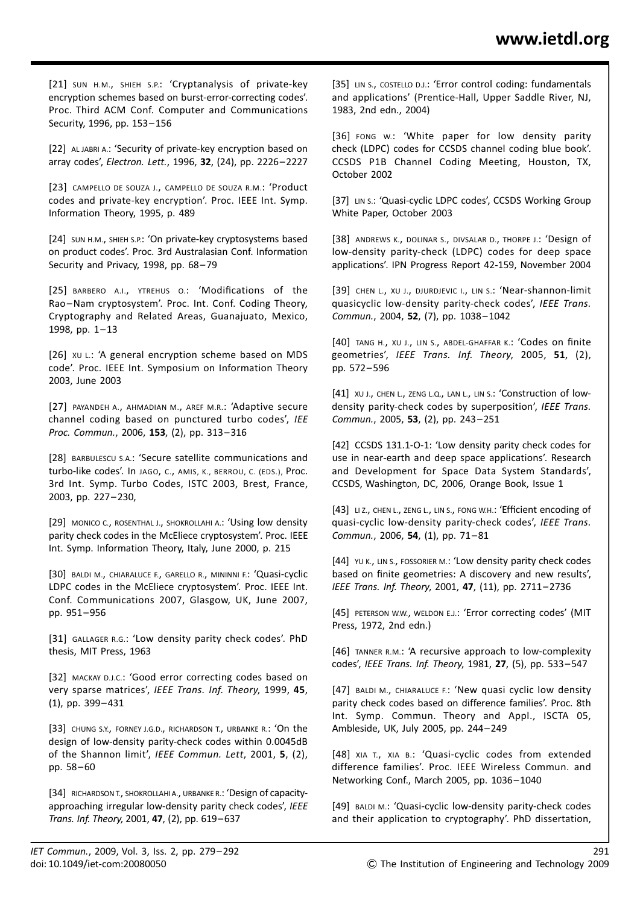[21] SUN H.M., SHIEH S.P.: 'Cryptanalysis of private-key encryption schemes based on burst-error-correcting codes'. Proc. Third ACM Conf. Computer and Communications Security, 1996, pp. 153– 156

[22] AL JABRI A.: 'Security of private-key encryption based on array codes', Electron. Lett., 1996, 32, (24), pp. 2226– 2227

[23] CAMPELLO DE SOUZA J., CAMPELLO DE SOUZA R.M.: 'Product codes and private-key encryption'. Proc. IEEE Int. Symp. Information Theory, 1995, p. 489

[24] SUN H.M., SHIEH S.P.: 'On private-key cryptosystems based on product codes'. Proc. 3rd Australasian Conf. Information Security and Privacy, 1998, pp. 68-79

[25] BARBERO A.I., YTREHUS O.: 'Modifications of the Rao–Nam cryptosystem'. Proc. Int. Conf. Coding Theory, Cryptography and Related Areas, Guanajuato, Mexico, 1998, pp.  $1-13$ 

[26] XU L.: 'A general encryption scheme based on MDS code'. Proc. IEEE Int. Symposium on Information Theory 2003, June 2003

[27] PAYANDEH A., AHMADIAN M., AREF M.R.: 'Adaptive secure channel coding based on punctured turbo codes', IEE Proc. Commun., 2006, 153, (2), pp. 313-316

[28] BARBULESCU S.A.: 'Secure satellite communications and turbo-like codes'. In JAGO, C., AMIS, K., BERROU, C. (EDS.), Proc. 3rd Int. Symp. Turbo Codes, ISTC 2003, Brest, France, 2003, pp. 227– 230,

[29] MONICO C., ROSENTHAL J., SHOKROLLAHI A.: 'Using low density parity check codes in the McEliece cryptosystem'. Proc. IEEE Int. Symp. Information Theory, Italy, June 2000, p. 215

[30] BALDI M., CHIARALUCE F., GARELLO R., MININNI F.: 'Quasi-cyclic LDPC codes in the McEliece cryptosystem'. Proc. IEEE Int. Conf. Communications 2007, Glasgow, UK, June 2007, pp. 951– 956

[31] GALLAGER R.G.: 'Low density parity check codes'. PhD thesis, MIT Press, 1963

[32] MACKAY D.J.C.: 'Good error correcting codes based on very sparse matrices', IEEE Trans. Inf. Theory, 1999, 45, (1), pp. 399– 431

[33] CHUNG S.Y., FORNEY J.G.D., RICHARDSON T., URBANKE R.: 'On the design of low-density parity-check codes within 0.0045dB of the Shannon limit', IEEE Commun. Lett, 2001, 5, (2), pp. 58– 60

[34] RICHARDSON T., SHOKROLLAHI A., URBANKE R.: 'Design of capacityapproaching irregular low-density parity check codes', IEEE Trans. Inf. Theory, 2001, 47, (2), pp. 619–637

[35] LIN S., COSTELLO D.J.: 'Error control coding: fundamentals and applications' (Prentice-Hall, Upper Saddle River, NJ, 1983, 2nd edn., 2004)

[36] FONG W.: 'White paper for low density parity check (LDPC) codes for CCSDS channel coding blue book'. CCSDS P1B Channel Coding Meeting, Houston, TX, October 2002

[37] LIN S.: 'Quasi-cyclic LDPC codes', CCSDS Working Group White Paper, October 2003

[38] ANDREWS K., DOLINAR S., DIVSALAR D., THORPE J.: 'Design of low-density parity-check (LDPC) codes for deep space applications'. IPN Progress Report 42-159, November 2004

[39] CHEN L., XU J., DJURDJEVIC I., LIN S.: 'Near-shannon-limit quasicyclic low-density parity-check codes', IEEE Trans. Commun., 2004, 52, (7), pp. 1038– 1042

[40] TANG H., XU J., LIN S., ABDEL-GHAFFAR K.: 'Codes on finite geometries', IEEE Trans. Inf. Theory, 2005, 51, (2), pp. 572– 596

[41] XU J., CHEN L., ZENG L.Q., LAN L., LIN S.: 'Construction of lowdensity parity-check codes by superposition', IEEE Trans. Commun., 2005, 53, (2), pp. 243– 251

[42] CCSDS 131.1-O-1: 'Low density parity check codes for use in near-earth and deep space applications'. Research and Development for Space Data System Standards', CCSDS, Washington, DC, 2006, Orange Book, Issue 1

[43] LI Z., CHEN L., ZENG L., LIN S., FONG W.H.: 'Efficient encoding of quasi-cyclic low-density parity-check codes', IEEE Trans. Commun., 2006, 54, (1), pp. 71-81

[44] YU K., LIN S., FOSSORIER M.: 'Low density parity check codes based on finite geometries: A discovery and new results', IEEE Trans. Inf. Theory, 2001, 47, (11), pp. 2711– 2736

[45] PETERSON W.W., WELDON E.J.: 'Error correcting codes' (MIT Press, 1972, 2nd edn.)

[46] TANNER R.M.: 'A recursive approach to low-complexity codes', IEEE Trans. Inf. Theory, 1981, 27, (5), pp. 533– 547

[47] BALDI M., CHIARALUCE F.: 'New quasi cyclic low density parity check codes based on difference families'. Proc. 8th Int. Symp. Commun. Theory and Appl., ISCTA 05, Ambleside, UK, July 2005, pp. 244– 249

[48] XIA T., XIA B.: 'Quasi-cyclic codes from extended difference families'. Proc. IEEE Wireless Commun. and Networking Conf., March 2005, pp. 1036– 1040

[49] BALDI M.: 'Quasi-cyclic low-density parity-check codes and their application to cryptography'. PhD dissertation,